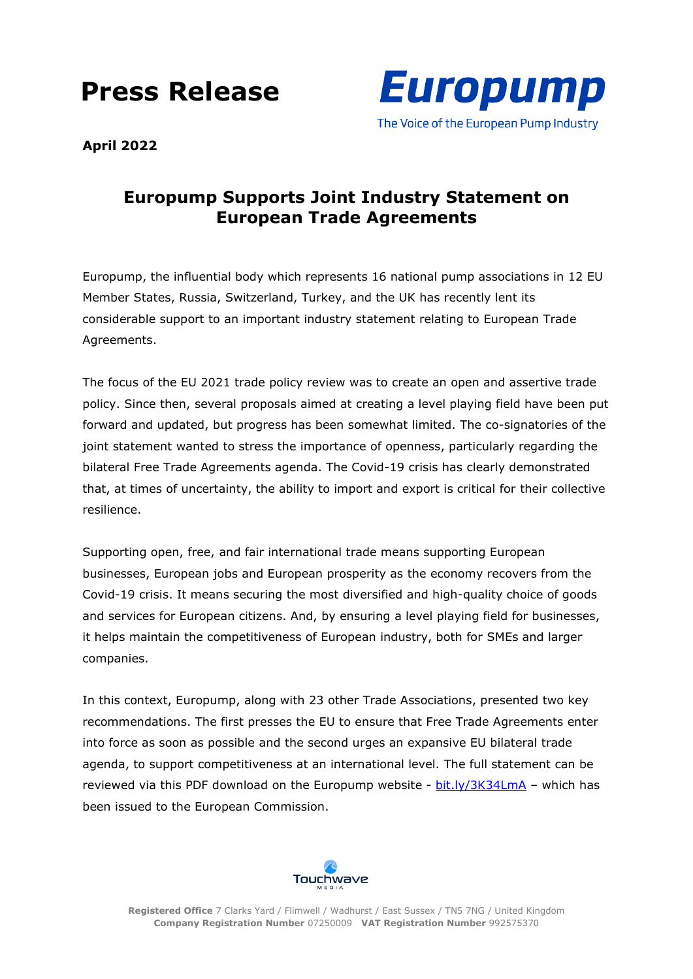## **Press Release**



**April 2022**

## **Europump Supports Joint Industry Statement on European Trade Agreements**

Europump, the influential body which represents 16 national pump associations in 12 EU Member States, Russia, Switzerland, Turkey, and the UK has recently lent its considerable support to an important industry statement relating to European Trade Agreements.

The focus of the EU 2021 trade policy review was to create an open and assertive trade policy. Since then, several proposals aimed at creating a level playing field have been put forward and updated, but progress has been somewhat limited. The co-signatories of the joint statement wanted to stress the importance of openness, particularly regarding the bilateral Free Trade Agreements agenda. The Covid-19 crisis has clearly demonstrated that, at times of uncertainty, the ability to import and export is critical for their collective resilience.

Supporting open, free, and fair international trade means supporting European businesses, European jobs and European prosperity as the economy recovers from the Covid-19 crisis. It means securing the most diversified and high-quality choice of goods and services for European citizens. And, by ensuring a level playing field for businesses, it helps maintain the competitiveness of European industry, both for SMEs and larger companies.

In this context, Europump, along with 23 other Trade Associations, presented two key recommendations. The first presses the EU to ensure that Free Trade Agreements enter into force as soon as possible and the second urges an expansive EU bilateral trade agenda, to support competitiveness at an international level. The full statement can be reviewed via this PDF download on the Europump website - [bit.ly/3K34LmA](https://bit.ly/3K34LmA) – which has been issued to the European Commission.